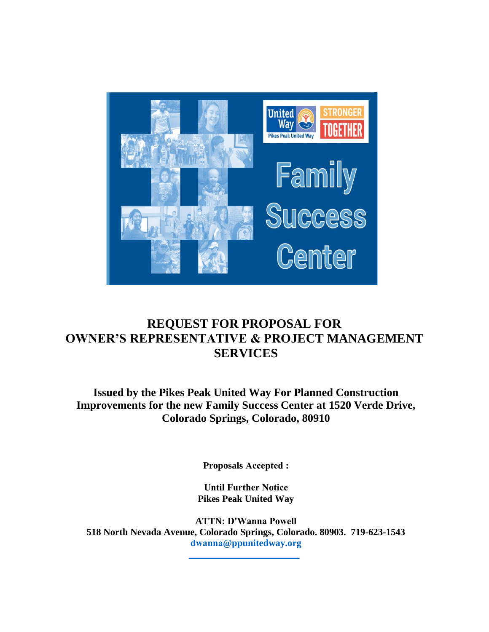

# **REQUEST FOR PROPOSAL FOR OWNER'S REPRESENTATIVE & PROJECT MANAGEMENT SERVICES**

**Issued by the Pikes Peak United Way For Planned Construction Improvements for the new Family Success Center at 1520 Verde Drive, Colorado Springs, Colorado, 80910** 

**Proposals Accepted :**

**Until Further Notice Pikes Peak United Way** 

**ATTN: D'Wanna Powell 518 North Nevada Avenue, Colorado Springs, Colorado. 80903. 719-623-1543 dwanna@ppunitedway.org**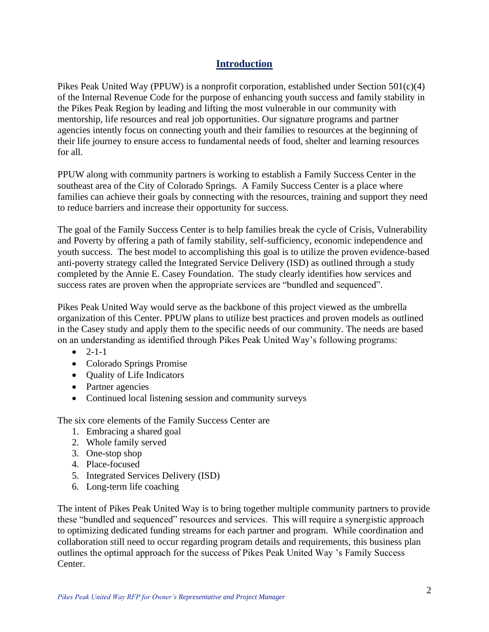# **Introduction**

Pikes Peak United Way (PPUW) is a nonprofit corporation, established under Section  $501(c)(4)$ of the Internal Revenue Code for the purpose of enhancing youth success and family stability in the Pikes Peak Region by leading and lifting the most vulnerable in our community with mentorship, life resources and real job opportunities. Our signature programs and partner agencies intently focus on connecting youth and their families to resources at the beginning of their life journey to ensure access to fundamental needs of food, shelter and learning resources for all.

PPUW along with community partners is working to establish a Family Success Center in the southeast area of the City of Colorado Springs. A Family Success Center is a place where families can achieve their goals by connecting with the resources, training and support they need to reduce barriers and increase their opportunity for success.

The goal of the Family Success Center is to help families break the cycle of Crisis, Vulnerability and Poverty by offering a path of family stability, self-sufficiency, economic independence and youth success. The best model to accomplishing this goal is to utilize the proven evidence-based anti-poverty strategy called the Integrated Service Delivery (ISD) as outlined through a study completed by the Annie E. Casey Foundation. The study clearly identifies how services and success rates are proven when the appropriate services are "bundled and sequenced".

Pikes Peak United Way would serve as the backbone of this project viewed as the umbrella organization of this Center. PPUW plans to utilize best practices and proven models as outlined in the Casey study and apply them to the specific needs of our community. The needs are based on an understanding as identified through Pikes Peak United Way's following programs:

- $-2-1-1$
- Colorado Springs Promise
- Quality of Life Indicators
- Partner agencies
- Continued local listening session and community surveys

The six core elements of the Family Success Center are

- 1. Embracing a shared goal
- 2. Whole family served
- 3. One-stop shop
- 4. Place-focused
- 5. Integrated Services Delivery (ISD)
- 6. Long-term life coaching

The intent of Pikes Peak United Way is to bring together multiple community partners to provide these "bundled and sequenced" resources and services. This will require a synergistic approach to optimizing dedicated funding streams for each partner and program. While coordination and collaboration still need to occur regarding program details and requirements, this business plan outlines the optimal approach for the success of Pikes Peak United Way 's Family Success Center.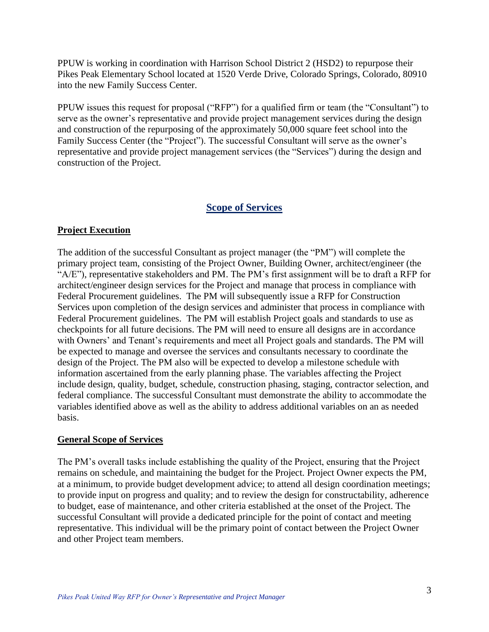PPUW is working in coordination with Harrison School District 2 (HSD2) to repurpose their Pikes Peak Elementary School located at 1520 Verde Drive, Colorado Springs, Colorado, 80910 into the new Family Success Center.

PPUW issues this request for proposal ("RFP") for a qualified firm or team (the "Consultant") to serve as the owner's representative and provide project management services during the design and construction of the repurposing of the approximately 50,000 square feet school into the Family Success Center (the "Project"). The successful Consultant will serve as the owner's representative and provide project management services (the "Services") during the design and construction of the Project.

# **Scope of Services**

#### **Project Execution**

The addition of the successful Consultant as project manager (the "PM") will complete the primary project team, consisting of the Project Owner, Building Owner, architect/engineer (the "A/E"), representative stakeholders and PM. The PM's first assignment will be to draft a RFP for architect/engineer design services for the Project and manage that process in compliance with Federal Procurement guidelines. The PM will subsequently issue a RFP for Construction Services upon completion of the design services and administer that process in compliance with Federal Procurement guidelines. The PM will establish Project goals and standards to use as checkpoints for all future decisions. The PM will need to ensure all designs are in accordance with Owners' and Tenant's requirements and meet all Project goals and standards. The PM will be expected to manage and oversee the services and consultants necessary to coordinate the design of the Project. The PM also will be expected to develop a milestone schedule with information ascertained from the early planning phase. The variables affecting the Project include design, quality, budget, schedule, construction phasing, staging, contractor selection, and federal compliance. The successful Consultant must demonstrate the ability to accommodate the variables identified above as well as the ability to address additional variables on an as needed basis.

#### **General Scope of Services**

The PM's overall tasks include establishing the quality of the Project, ensuring that the Project remains on schedule, and maintaining the budget for the Project. Project Owner expects the PM, at a minimum, to provide budget development advice; to attend all design coordination meetings; to provide input on progress and quality; and to review the design for constructability, adherence to budget, ease of maintenance, and other criteria established at the onset of the Project. The successful Consultant will provide a dedicated principle for the point of contact and meeting representative. This individual will be the primary point of contact between the Project Owner and other Project team members.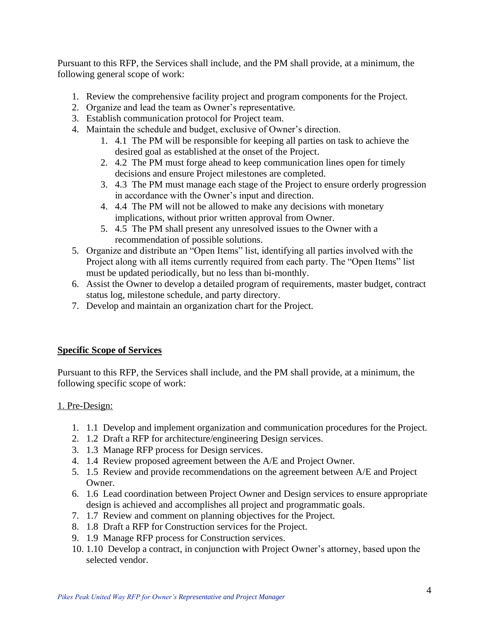Pursuant to this RFP, the Services shall include, and the PM shall provide, at a minimum, the following general scope of work:

- 1. Review the comprehensive facility project and program components for the Project.
- 2. Organize and lead the team as Owner's representative.
- 3. Establish communication protocol for Project team.
- 4. Maintain the schedule and budget, exclusive of Owner's direction.
	- 1. 4.1 The PM will be responsible for keeping all parties on task to achieve the desired goal as established at the onset of the Project.
	- 2. 4.2 The PM must forge ahead to keep communication lines open for timely decisions and ensure Project milestones are completed.
	- 3. 4.3 The PM must manage each stage of the Project to ensure orderly progression in accordance with the Owner's input and direction.
	- 4. 4.4 The PM will not be allowed to make any decisions with monetary implications, without prior written approval from Owner.
	- 5. 4.5 The PM shall present any unresolved issues to the Owner with a recommendation of possible solutions.
- 5. Organize and distribute an "Open Items" list, identifying all parties involved with the Project along with all items currently required from each party. The "Open Items" list must be updated periodically, but no less than bi-monthly.
- 6. Assist the Owner to develop a detailed program of requirements, master budget, contract status log, milestone schedule, and party directory.
- 7. Develop and maintain an organization chart for the Project.

#### **Specific Scope of Services**

Pursuant to this RFP, the Services shall include, and the PM shall provide, at a minimum, the following specific scope of work:

#### 1. Pre-Design:

- 1. 1.1 Develop and implement organization and communication procedures for the Project.
- 2. 1.2 Draft a RFP for architecture/engineering Design services.
- 3. 1.3 Manage RFP process for Design services.
- 4. 1.4 Review proposed agreement between the A/E and Project Owner.
- 5. 1.5 Review and provide recommendations on the agreement between A/E and Project Owner.
- 6. 1.6 Lead coordination between Project Owner and Design services to ensure appropriate design is achieved and accomplishes all project and programmatic goals.
- 7. 1.7 Review and comment on planning objectives for the Project.
- 8. 1.8 Draft a RFP for Construction services for the Project.
- 9. 1.9 Manage RFP process for Construction services.
- 10. 1.10 Develop a contract, in conjunction with Project Owner's attorney, based upon the selected vendor.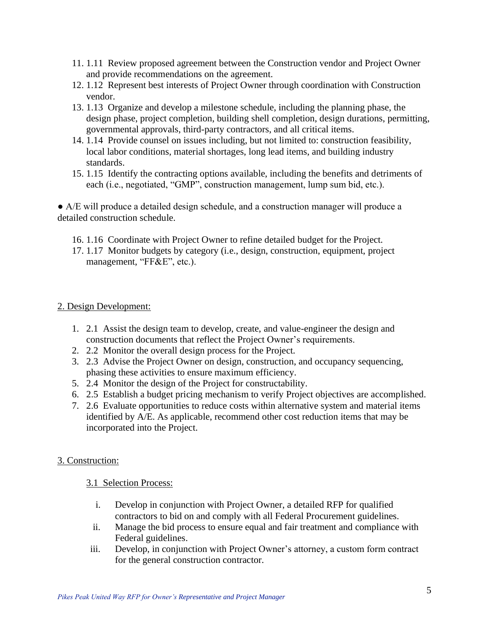- 11. 1.11 Review proposed agreement between the Construction vendor and Project Owner and provide recommendations on the agreement.
- 12. 1.12 Represent best interests of Project Owner through coordination with Construction vendor.
- 13. 1.13 Organize and develop a milestone schedule, including the planning phase, the design phase, project completion, building shell completion, design durations, permitting, governmental approvals, third-party contractors, and all critical items.
- 14. 1.14 Provide counsel on issues including, but not limited to: construction feasibility, local labor conditions, material shortages, long lead items, and building industry standards.
- 15. 1.15 Identify the contracting options available, including the benefits and detriments of each (i.e., negotiated, "GMP", construction management, lump sum bid, etc.).

● A/E will produce a detailed design schedule, and a construction manager will produce a detailed construction schedule.

- 16. 1.16 Coordinate with Project Owner to refine detailed budget for the Project.
- 17. 1.17 Monitor budgets by category (i.e., design, construction, equipment, project management, "FF&E", etc.).

#### 2. Design Development:

- 1. 2.1 Assist the design team to develop, create, and value-engineer the design and construction documents that reflect the Project Owner's requirements.
- 2. 2.2 Monitor the overall design process for the Project.
- 3. 2.3 Advise the Project Owner on design, construction, and occupancy sequencing, phasing these activities to ensure maximum efficiency.
- 5. 2.4 Monitor the design of the Project for constructability.
- 6. 2.5 Establish a budget pricing mechanism to verify Project objectives are accomplished.
- 7. 2.6 Evaluate opportunities to reduce costs within alternative system and material items identified by A/E. As applicable, recommend other cost reduction items that may be incorporated into the Project.

# 3. Construction:

#### 3.1 Selection Process:

- i. Develop in conjunction with Project Owner, a detailed RFP for qualified contractors to bid on and comply with all Federal Procurement guidelines.
- ii. Manage the bid process to ensure equal and fair treatment and compliance with Federal guidelines.
- iii. Develop, in conjunction with Project Owner's attorney, a custom form contract for the general construction contractor.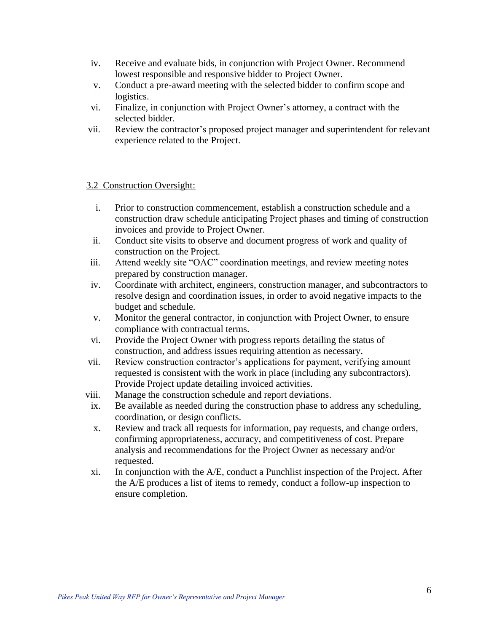- iv. Receive and evaluate bids, in conjunction with Project Owner. Recommend lowest responsible and responsive bidder to Project Owner.
- v. Conduct a pre-award meeting with the selected bidder to confirm scope and logistics.
- vi. Finalize, in conjunction with Project Owner's attorney, a contract with the selected bidder.
- vii. Review the contractor's proposed project manager and superintendent for relevant experience related to the Project.

#### 3.2 Construction Oversight:

- i. Prior to construction commencement, establish a construction schedule and a construction draw schedule anticipating Project phases and timing of construction invoices and provide to Project Owner.
- ii. Conduct site visits to observe and document progress of work and quality of construction on the Project.
- iii. Attend weekly site "OAC" coordination meetings, and review meeting notes prepared by construction manager.
- iv. Coordinate with architect, engineers, construction manager, and subcontractors to resolve design and coordination issues, in order to avoid negative impacts to the budget and schedule.
- v. Monitor the general contractor, in conjunction with Project Owner, to ensure compliance with contractual terms.
- vi. Provide the Project Owner with progress reports detailing the status of construction, and address issues requiring attention as necessary.
- vii. Review construction contractor's applications for payment, verifying amount requested is consistent with the work in place (including any subcontractors). Provide Project update detailing invoiced activities.
- viii. Manage the construction schedule and report deviations.
- ix. Be available as needed during the construction phase to address any scheduling, coordination, or design conflicts.
- x. Review and track all requests for information, pay requests, and change orders, confirming appropriateness, accuracy, and competitiveness of cost. Prepare analysis and recommendations for the Project Owner as necessary and/or requested.
- xi. In conjunction with the A/E, conduct a Punchlist inspection of the Project. After the A/E produces a list of items to remedy, conduct a follow-up inspection to ensure completion.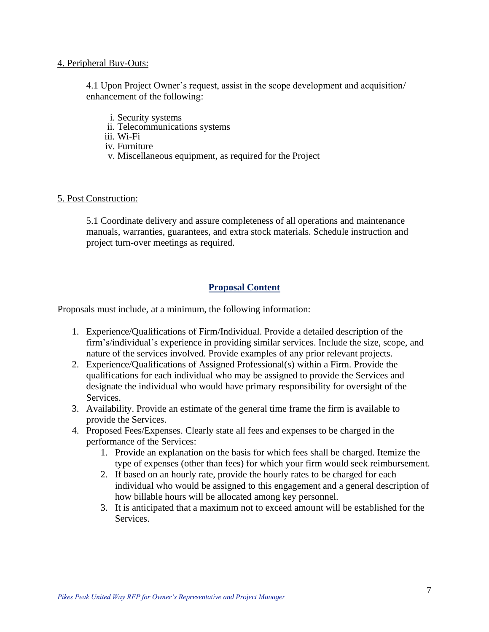#### 4. Peripheral Buy-Outs:

4.1 Upon Project Owner's request, assist in the scope development and acquisition/ enhancement of the following:

- i. Security systems
- ii. Telecommunications systems
- iii. Wi-Fi
- iv. Furniture
- v. Miscellaneous equipment, as required for the Project

#### 5. Post Construction:

5.1 Coordinate delivery and assure completeness of all operations and maintenance manuals, warranties, guarantees, and extra stock materials. Schedule instruction and project turn-over meetings as required.

# **Proposal Content**

Proposals must include, at a minimum, the following information:

- 1. Experience/Qualifications of Firm/Individual. Provide a detailed description of the firm's/individual's experience in providing similar services. Include the size, scope, and nature of the services involved. Provide examples of any prior relevant projects.
- 2. Experience/Qualifications of Assigned Professional(s) within a Firm. Provide the qualifications for each individual who may be assigned to provide the Services and designate the individual who would have primary responsibility for oversight of the Services.
- 3. Availability. Provide an estimate of the general time frame the firm is available to provide the Services.
- 4. Proposed Fees/Expenses. Clearly state all fees and expenses to be charged in the performance of the Services:
	- 1. Provide an explanation on the basis for which fees shall be charged. Itemize the type of expenses (other than fees) for which your firm would seek reimbursement.
	- 2. If based on an hourly rate, provide the hourly rates to be charged for each individual who would be assigned to this engagement and a general description of how billable hours will be allocated among key personnel.
	- 3. It is anticipated that a maximum not to exceed amount will be established for the Services.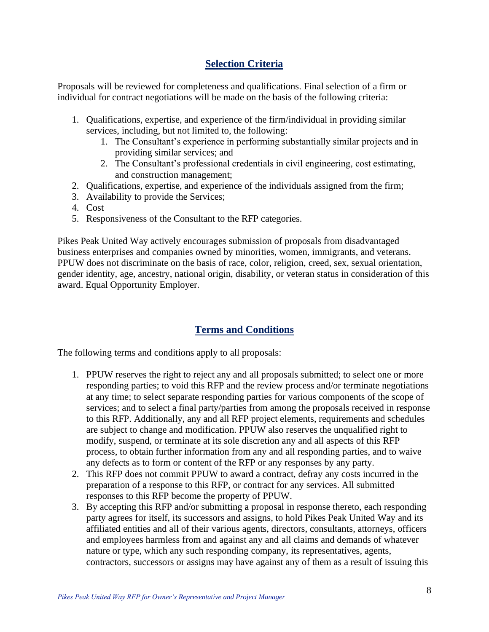# **Selection Criteria**

Proposals will be reviewed for completeness and qualifications. Final selection of a firm or individual for contract negotiations will be made on the basis of the following criteria:

- 1. Qualifications, expertise, and experience of the firm/individual in providing similar services, including, but not limited to, the following:
	- 1. The Consultant's experience in performing substantially similar projects and in providing similar services; and
	- 2. The Consultant's professional credentials in civil engineering, cost estimating, and construction management;
- 2. Qualifications, expertise, and experience of the individuals assigned from the firm;
- 3. Availability to provide the Services;
- 4. Cost
- 5. Responsiveness of the Consultant to the RFP categories.

Pikes Peak United Way actively encourages submission of proposals from disadvantaged business enterprises and companies owned by minorities, women, immigrants, and veterans. PPUW does not discriminate on the basis of race, color, religion, creed, sex, sexual orientation, gender identity, age, ancestry, national origin, disability, or veteran status in consideration of this award. Equal Opportunity Employer.

# **Terms and Conditions**

The following terms and conditions apply to all proposals:

- 1. PPUW reserves the right to reject any and all proposals submitted; to select one or more responding parties; to void this RFP and the review process and/or terminate negotiations at any time; to select separate responding parties for various components of the scope of services; and to select a final party/parties from among the proposals received in response to this RFP. Additionally, any and all RFP project elements, requirements and schedules are subject to change and modification. PPUW also reserves the unqualified right to modify, suspend, or terminate at its sole discretion any and all aspects of this RFP process, to obtain further information from any and all responding parties, and to waive any defects as to form or content of the RFP or any responses by any party.
- 2. This RFP does not commit PPUW to award a contract, defray any costs incurred in the preparation of a response to this RFP, or contract for any services. All submitted responses to this RFP become the property of PPUW.
- 3. By accepting this RFP and/or submitting a proposal in response thereto, each responding party agrees for itself, its successors and assigns, to hold Pikes Peak United Way and its affiliated entities and all of their various agents, directors, consultants, attorneys, officers and employees harmless from and against any and all claims and demands of whatever nature or type, which any such responding company, its representatives, agents, contractors, successors or assigns may have against any of them as a result of issuing this